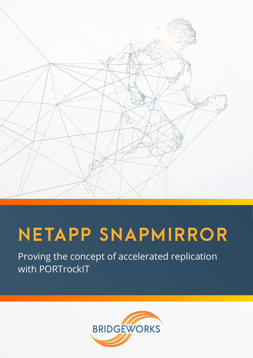

# **NETAPP SNAPMIRROR**

Proving the concept of accelerated replication with PORTrockIT

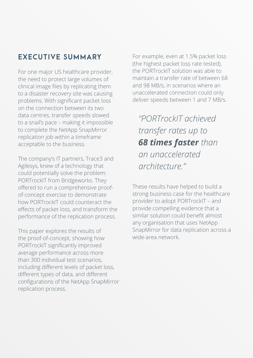# **EXECUTIVE SUMMARY**

For one major US healthcare provider, the need to protect large volumes of clinical image files by replicating them to a disaster recovery site was causing problems. With significant packet loss on the connection between its two data centres, transfer speeds slowed to a snail's pace – making it impossible to complete the NetApp SnapMirror replication job within a timeframe acceptable to the business.

The company's IT partners, Trace3 and Agilesys, knew of a technology that could potentially solve the problem: PORTrockIT from Bridgeworks. They offered to run a comprehensive proofof-concept exercise to demonstrate how PORTrockIT could counteract the effects of packet loss, and transform the performance of the replication process.

This paper explores the results of the proof-of-concept, showing how PORTrockIT significantly improved average performance across more than 300 individual test scenarios, including different levels of packet loss, different types of data, and different configurations of the NetApp SnapMirror replication process.

For example, even at 1.5% packet loss (the highest packet loss rate tested), the PORTrockIT solution was able to maintain a transfer rate of between 68 and 98 MB/s, in scenarios where an unaccelerated connection could only deliver speeds between 1 and 7 MB/s.

*"PORTrockIT achieved transfer rates up to 68 times faster than an unaccelerated architecture."*

These results have helped to build a strong business case for the healthcare provider to adopt PORTrockIT – and provide compelling evidence that a similar solution could benefit almost any organisation that uses NetApp SnapMirror for data replication across a wide-area network.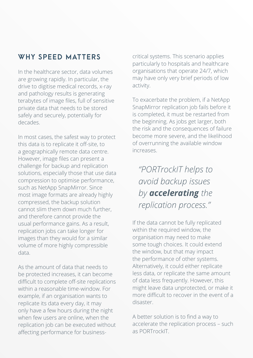## **WHY SPEED MATTERS**

In the healthcare sector, data volumes are growing rapidly. In particular, the drive to digitise medical records, x-ray and pathology results is generating terabytes of image files, full of sensitive private data that needs to be stored safely and securely, potentially for decades.

In most cases, the safest way to protect this data is to replicate it off-site, to a geographically remote data centre. However, image files can present a challenge for backup and replication solutions, especially those that use data compression to optimise performance, such as NetApp SnapMirror. Since most image formats are already highly compressed, the backup solution cannot slim them down much further, and therefore cannot provide the usual performance gains. As a result, replication jobs can take longer for images than they would for a similar volume of more highly compressible data.

As the amount of data that needs to be protected increases, it can become difficult to complete off-site replications within a reasonable time-window. For example, if an organisation wants to replicate its data every day, it may only have a few hours during the night when few users are online, when the replication job can be executed without affecting performance for businesscritical systems. This scenario applies particularly to hospitals and healthcare organisations that operate 24/7, which may have only very brief periods of low activity.

To exacerbate the problem, if a NetApp SnapMirror replication job fails before it is completed, it must be restarted from the beginning. As jobs get larger, both the risk and the consequences of failure become more severe, and the likelihood of overrunning the available window increases.

*"PORTrockIT helps to avoid backup issues by accelerating the replication process."*

If the data cannot be fully replicated within the required window, the organisation may need to make some tough choices. It could extend the window, but that may impact the performance of other systems. Alternatively, it could either replicate less data, or replicate the same amount of data less frequently. However, this might leave data unprotected, or make it more difficult to recover in the event of a disaster.

A better solution is to find a way to accelerate the replication process – such as PORTrockIT.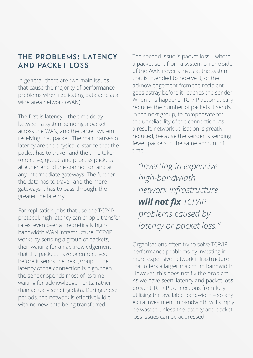## **THE PROBLEMS: L ATENCY AND PACKET LOSS**

In general, there are two main issues that cause the majority of performance problems when replicating data across a wide area network (WAN).

The first is latency – the time delay between a system sending a packet across the WAN, and the target system receiving that packet. The main causes of latency are the physical distance that the packet has to travel, and the time taken to receive, queue and process packets at either end of the connection and at any intermediate gateways. The further the data has to travel, and the more gateways it has to pass through, the greater the latency.

For replication jobs that use the TCP/IP protocol, high latency can cripple transfer rates, even over a theoretically highbandwidth WAN infrastructure. TCP/IP works by sending a group of packets, then waiting for an acknowledgement that the packets have been received before it sends the next group. If the latency of the connection is high, then the sender spends most of its time waiting for acknowledgements, rather than actually sending data. During these periods, the network is effectively idle, with no new data being transferred.

The second issue is packet loss – where a packet sent from a system on one side of the WAN never arrives at the system that is intended to receive it, or the acknowledgement from the recipient goes astray before it reaches the sender. When this happens, TCP/IP automatically reduces the number of packets it sends in the next group, to compensate for the unreliability of the connection. As a result, network utilisation is greatly reduced, because the sender is sending fewer packets in the same amount of time.

*"Investing in expensive high-bandwidth network infrastructure*  **will not fix** TCP/IP *problems caused by latency or packet loss."*

Organisations often try to solve TCP/IP performance problems by investing in more expensive network infrastructure that offers a larger maximum bandwidth. However, this does not fix the problem. As we have seen, latency and packet loss prevent TCP/IP connections from fully utilising the available bandwidth – so any extra investment in bandwidth will simply be wasted unless the latency and packet loss issues can be addressed.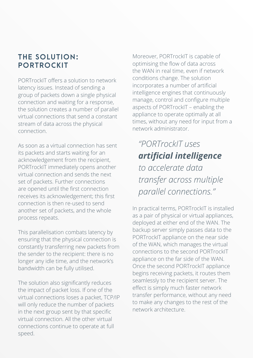## **THE SOLUTION: PORTROCKIT**

PORTrockIT offers a solution to network latency issues. Instead of sending a group of packets down a single physical connection and waiting for a response, the solution creates a number of parallel virtual connections that send a constant stream of data across the physical connection.

As soon as a virtual connection has sent its packets and starts waiting for an acknowledgement from the recipient, PORTrockIT immediately opens another virtual connection and sends the next set of packets. Further connections are opened until the first connection receives its acknowledgement; this first connection is then re-used to send another set of packets, and the whole process repeats.

This parallelisation combats latency by ensuring that the physical connection is constantly transferring new packets from the sender to the recipient: there is no longer any idle time, and the network's bandwidth can be fully utilised.

The solution also significantly reduces the impact of packet loss. If one of the virtual connections loses a packet, TCP/IP will only reduce the number of packets in the next group sent by that specific virtual connection. All the other virtual connections continue to operate at full speed.

Moreover, PORTrockIT is capable of optimising the flow of data across the WAN in real time, even if network conditions change. The solution incorporates a number of artificial intelligence engines that continuously manage, control and configure multiple aspects of PORTrockIT – enabling the appliance to operate optimally at all times, without any need for input from a network administrator.

*"PORTrockIT uses artificial intelligence to accelerate data transfer across multiple parallel connections."*

In practical terms, PORTrockIT is installed as a pair of physical or virtual appliances, deployed at either end of the WAN. The backup server simply passes data to the PORTrockIT appliance on the near side of the WAN, which manages the virtual connections to the second PORTrockIT appliance on the far side of the WAN. Once the second PORTrockIT appliance begins receiving packets, it routes them seamlessly to the recipient server. The effect is simply much faster network transfer performance, without any need to make any changes to the rest of the network architecture.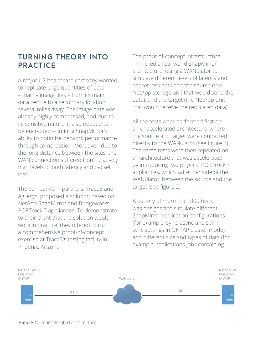# **TURNING THEORY INTO PRACTICE**

A major US healthcare company wanted to replicate large quantities of data – mainly image files – from its main data centre to a secondary location several miles away. The image data was already highly compressed, and due to its sensitive nature, it also needed to be encrypted – limiting SnapMirror's ability to optimise network performance through compression. Moreover, due to the long distance between the sites, the WAN connection suffered from relatively high levels of both latency and packet loss.

The company's IT partners, Trace3 and Agilesys, proposed a solution based on NetApp SnapMirror and Bridgeworks PORTrockIT appliances. To demonstrate to their client that the solution would work in practice, they offered to run a comprehensive proof-of-concept exercise at Trace3's testing facility in Phoenix, Arizona.

The proof-of-concept infrastructure mimicked a real-world SnapMirror architecture, using a WANulator to simulate different levels of latency and packet loss between the source (the NetApp storage unit that would send the data), and the target (the NetApp unit that would receive the replicated data).

All the tests were performed first on an unaccelerated architecture, where the source and target were connected directly to the WANulator (see figure 1). The same tests were then repeated on an architecture that was accelerated by introducing two physical PORTrockIT appliances, which sat either side of the WANulator, between the source and the target (see figure 2).

A battery of more than 300 tests was designed to simulate different SnapMirror replication configurations (for example, sync, async and semisync settings in ONTAP cluster mode), and different size and types of data (for example, replications jobs containing



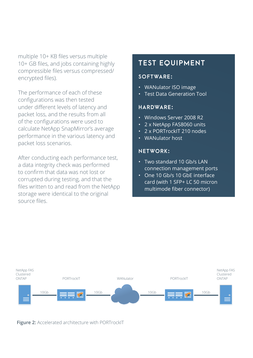multiple 10+ KB files versus multiple 10+ GB files, and jobs containing highly compressible files versus compressed/ encrypted files).

The performance of each of these configurations was then tested under different levels of latency and packet loss, and the results from all of the configurations were used to calculate NetApp SnapMirror's average performance in the various latency and packet loss scenarios.

After conducting each performance test, a data integrity check was performed to confirm that data was not lost or corrupted during testing, and that the files written to and read from the NetApp storage were identical to the original source files.

### **TEST EQUIPMENT**

#### **SOFTWARE:**

- • WANulator ISO image
- • Test Data Generation Tool

#### **HARDWARE:**

- • Windows Server 2008 R2
- 2 x NetApp FAS8060 units
- • 2 x PORTrockIT 210 nodes
- • WANulator host

#### **NETWORK:**

- • Two standard 10 Gb/s LAN connection management ports
- One 10 Gb/s 10 GbE interface card (with 1 SFP+ LC 50 micron multimode fiber connector)



**Figure 2:** Accelerated architecture with PORTrockIT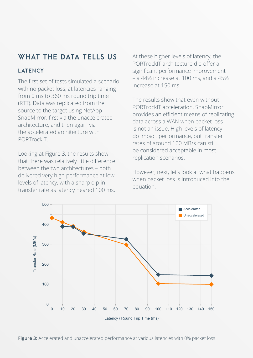# **WHAT THE DATA TELLS US**

#### **L ATENCY**

The first set of tests simulated a scenario with no packet loss, at latencies ranging from 0 ms to 360 ms round trip time (RTT). Data was replicated from the source to the target using NetApp SnapMirror, first via the unaccelerated architecture, and then again via the accelerated architecture with PORTrockIT.

Looking at Figure 3, the results show that there was relatively little difference between the two architectures – both delivered very high performance at low levels of latency, with a sharp dip in transfer rate as latency neared 100 ms.

At these higher levels of latency, the PORTrockIT architecture did offer a significant performance improvement – a 44% increase at 100 ms, and a 45% increase at 150 ms.

The results show that even without PORTrockIT acceleration, SnapMirror provides an efficient means of replicating data across a WAN when packet loss is not an issue. High levels of latency do impact performance, but transfer rates of around 100 MB/s can still be considered acceptable in most replication scenarios.

However, next, let's look at what happens when packet loss is introduced into the equation.



Figure 3: Accelerated and unaccelerated performance at various latencies with 0% packet loss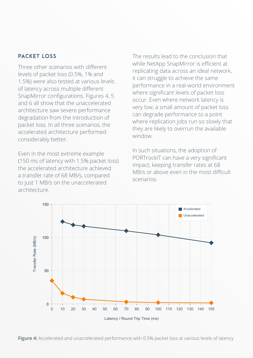#### **PACKET LOSS**

Three other scenarios with different levels of packet loss (0.5%, 1% and 1.5%) were also tested at various levels of latency across multiple different SnapMirror configurations. Figures 4, 5 and 6 all show that the unaccelerated architecture saw severe performance degradation from the introduction of packet loss. In all three scenarios, the accelerated architecture performed considerably better.

Even in the most extreme example (150 ms of latency with 1.5% packet loss) the accelerated architecture achieved a transfer rate of 68 MB/s, compared to just 1 MB/s on the unaccelerated architecture.

The results lead to the conclusion that while NetApp SnapMirror is efficient at replicating data across an ideal network, it can struggle to achieve the same performance in a real-world environment where significant levels of packet loss occur. Even where network latency is very low, a small amount of packet loss can degrade performance to a point where replication jobs run so slowly that they are likely to overrun the available window.

In such situations, the adoption of PORTrockIT can have a very significant impact, keeping transfer rates at 68 MB/s or above even in the most difficult scenarios.



Figure 4: Accelerated and unaccelerated performance with 0.5% packet loss at various levels of latency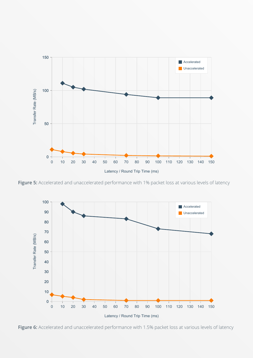

Figure 5: Accelerated and unaccelerated performance with 1% packet loss at various levels of latency



Figure 6: Accelerated and unaccelerated performance with 1.5% packet loss at various levels of latency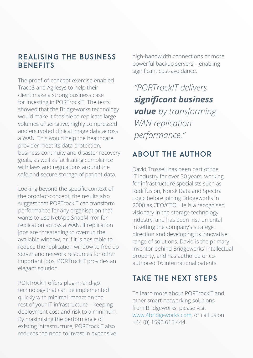## **REALISING THE BUSINESS BENEFITS**

The proof-of-concept exercise enabled Trace3 and Agilesys to help their client make a strong business case for investing in PORTrockIT. The tests showed that the Bridgeworks technology would make it feasible to replicate large volumes of sensitive, highly compressed and encrypted clinical image data across a WAN. This would help the healthcare provider meet its data protection, business continuity and disaster recovery goals, as well as facilitating compliance with laws and regulations around the safe and secure storage of patient data.

Looking beyond the specific context of the proof-of-concept, the results also suggest that PORTrockIT can transform performance for any organisation that wants to use NetApp SnapMirror for replication across a WAN. If replication jobs are threatening to overrun the available window, or if it is desirable to reduce the replication window to free up server and network resources for other important jobs, PORTrockIT provides an elegant solution.

PORTrockIT offers plug-in-and-go technology that can be implemented quickly with minimal impact on the rest of your IT infrastructure – keeping deployment cost and risk to a minimum. By maximising the performance of existing infrastructure, PORTrockIT also reduces the need to invest in expensive

high-bandwidth connections or more powerful backup servers – enabling significant cost-avoidance.

*"PORTrockIT delivers significant business value by transforming WAN replication performance."*

# **ABOUT THE AUTHOR**

David Trossell has been part of the IT industry for over 30 years, working for infrastructure specialists such as Rediffusion, Norsk Data and Spectra Logic before joining Bridgeworks in 2000 as CEO/CTO. He is a recognised visionary in the storage technology industry, and has been instrumental in setting the company's strategic direction and developing its innovative range of solutions. David is the primary inventor behind Bridgeworks' intellectual property, and has authored or coauthored 16 international patents.

# **TAKE THE NEXT STEPS**

To learn more about PORTrockIT and other smart networking solutions from Bridgeworks, please visit [www.4bridgeworks.com](http://www.4bridgeworks.com), or call us on +44 (0) 1590 615 444.